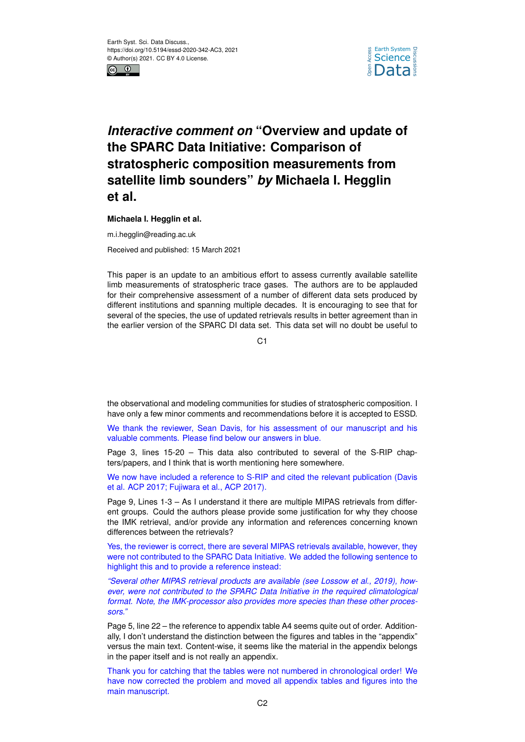



## *Interactive comment on* **"Overview and update of the SPARC Data Initiative: Comparison of stratospheric composition measurements from satellite limb sounders"** *by* **Michaela I. Hegglin et al.**

**Michaela I. Hegglin et al.**

m.i.hegglin@reading.ac.uk

Received and published: 15 March 2021

This paper is an update to an ambitious effort to assess currently available satellite limb measurements of stratospheric trace gases. The authors are to be applauded for their comprehensive assessment of a number of different data sets produced by different institutions and spanning multiple decades. It is encouraging to see that for several of the species, the use of updated retrievals results in better agreement than in the earlier version of the SPARC DI data set. This data set will no doubt be useful to

 $C<sub>1</sub>$ 

the observational and modeling communities for studies of stratospheric composition. I have only a few minor comments and recommendations before it is accepted to ESSD.

We thank the reviewer, Sean Davis, for his assessment of our manuscript and his valuable comments. Please find below our answers in blue.

Page 3, lines 15-20 – This data also contributed to several of the S-RIP chapters/papers, and I think that is worth mentioning here somewhere.

We now have included a reference to S-RIP and cited the relevant publication (Davis et al. ACP 2017; Fujiwara et al., ACP 2017).

Page 9, Lines 1-3 – As I understand it there are multiple MIPAS retrievals from different groups. Could the authors please provide some justification for why they choose the IMK retrieval, and/or provide any information and references concerning known differences between the retrievals?

Yes, the reviewer is correct, there are several MIPAS retrievals available, however, they were not contributed to the SPARC Data Initiative. We added the following sentence to highlight this and to provide a reference instead:

*"Several other MIPAS retrieval products are available (see Lossow et al., 2019), however, were not contributed to the SPARC Data Initiative in the required climatological format. Note, the IMK-processor also provides more species than these other processors."*

Page 5, line 22 – the reference to appendix table A4 seems quite out of order. Additionally, I don't understand the distinction between the figures and tables in the "appendix" versus the main text. Content-wise, it seems like the material in the appendix belongs in the paper itself and is not really an appendix.

Thank you for catching that the tables were not numbered in chronological order! We have now corrected the problem and moved all appendix tables and figures into the main manuscript.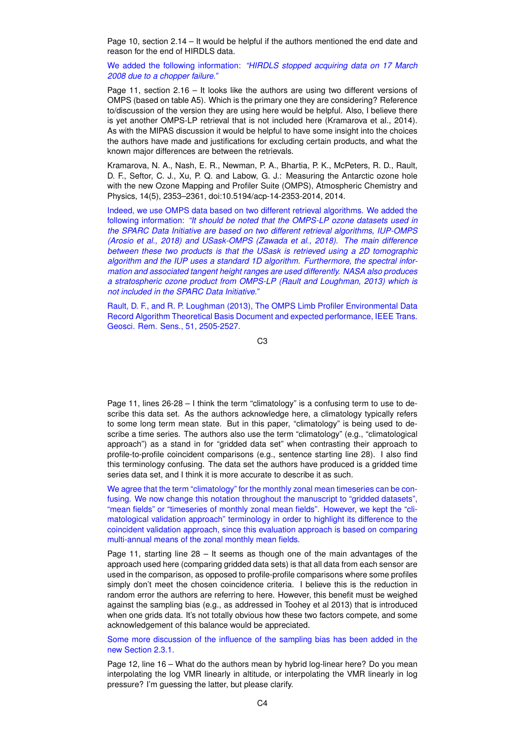Page 10, section 2.14 – It would be helpful if the authors mentioned the end date and reason for the end of HIRDLS data.

We added the following information: *"HIRDLS stopped acquiring data on 17 March 2008 due to a chopper failure."*

Page 11, section 2.16 – It looks like the authors are using two different versions of OMPS (based on table A5). Which is the primary one they are considering? Reference to/discussion of the version they are using here would be helpful. Also, I believe there is yet another OMPS-LP retrieval that is not included here (Kramarova et al., 2014). As with the MIPAS discussion it would be helpful to have some insight into the choices the authors have made and justifications for excluding certain products, and what the known major differences are between the retrievals.

Kramarova, N. A., Nash, E. R., Newman, P. A., Bhartia, P. K., McPeters, R. D., Rault, D. F., Seftor, C. J., Xu, P. Q. and Labow, G. J.: Measuring the Antarctic ozone hole with the new Ozone Mapping and Profiler Suite (OMPS), Atmospheric Chemistry and Physics, 14(5), 2353–2361, doi:10.5194/acp-14-2353-2014, 2014.

Indeed, we use OMPS data based on two different retrieval algorithms. We added the following information: *"It should be noted that the OMPS-LP ozone datasets used in the SPARC Data Initiative are based on two different retrieval algorithms, IUP-OMPS (Arosio et al., 2018) and USask-OMPS (Zawada et al., 2018). The main difference between these two products is that the USask is retrieved using a 2D tomographic algorithm and the IUP uses a standard 1D algorithm. Furthermore, the spectral information and associated tangent height ranges are used differently. NASA also produces a stratospheric ozone product from OMPS-LP (Rault and Loughman, 2013) which is not included in the SPARC Data Initiative."*

Rault, D. F., and R. P. Loughman (2013), The OMPS Limb Profiler Environmental Data Record Algorithm Theoretical Basis Document and expected performance, IEEE Trans. Geosci. Rem. Sens., 51, 2505-2527.

C3

Page 11, lines 26-28 – I think the term "climatology" is a confusing term to use to describe this data set. As the authors acknowledge here, a climatology typically refers to some long term mean state. But in this paper, "climatology" is being used to describe a time series. The authors also use the term "climatology" (e.g., "climatological approach") as a stand in for "gridded data set" when contrasting their approach to profile-to-profile coincident comparisons (e.g., sentence starting line 28). I also find this terminology confusing. The data set the authors have produced is a gridded time series data set, and I think it is more accurate to describe it as such.

We agree that the term "climatology" for the monthly zonal mean timeseries can be confusing. We now change this notation throughout the manuscript to "gridded datasets", "mean fields" or "timeseries of monthly zonal mean fields". However, we kept the "climatological validation approach" terminology in order to highlight its difference to the coincident validation approach, since this evaluation approach is based on comparing multi-annual means of the zonal monthly mean fields.

Page 11, starting line 28 – It seems as though one of the main advantages of the approach used here (comparing gridded data sets) is that all data from each sensor are used in the comparison, as opposed to profile-profile comparisons where some profiles simply don't meet the chosen coincidence criteria. I believe this is the reduction in random error the authors are referring to here. However, this benefit must be weighed against the sampling bias (e.g., as addressed in Toohey et al 2013) that is introduced when one grids data. It's not totally obvious how these two factors compete, and some acknowledgement of this balance would be appreciated.

Some more discussion of the influence of the sampling bias has been added in the new Section 2.3.1.

Page 12, line 16 – What do the authors mean by hybrid log-linear here? Do you mean interpolating the log VMR linearly in altitude, or interpolating the VMR linearly in log pressure? I'm guessing the latter, but please clarify.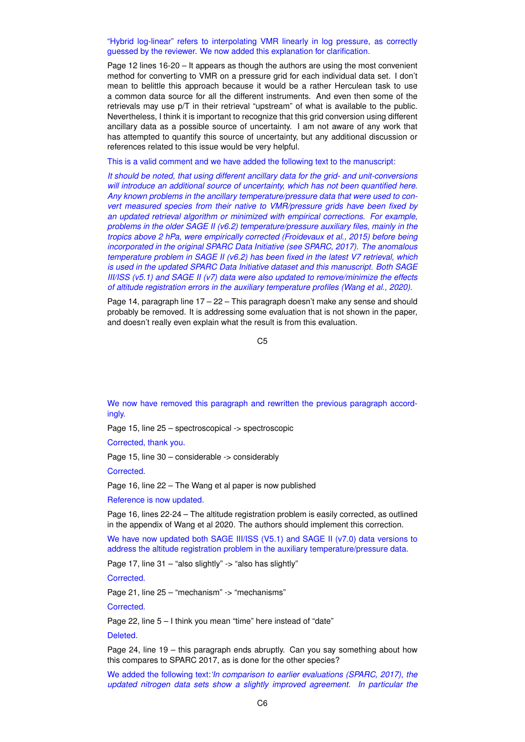## "Hybrid log-linear" refers to interpolating VMR linearly in log pressure, as correctly guessed by the reviewer. We now added this explanation for clarification.

Page 12 lines 16-20 – It appears as though the authors are using the most convenient method for converting to VMR on a pressure grid for each individual data set. I don't mean to belittle this approach because it would be a rather Herculean task to use a common data source for all the different instruments. And even then some of the retrievals may use p/T in their retrieval "upstream" of what is available to the public. Nevertheless, I think it is important to recognize that this grid conversion using different ancillary data as a possible source of uncertainty. I am not aware of any work that has attempted to quantify this source of uncertainty, but any additional discussion or references related to this issue would be very helpful.

This is a valid comment and we have added the following text to the manuscript:

*It should be noted, that using different ancillary data for the grid- and unit-conversions will introduce an additional source of uncertainty, which has not been quantified here. Any known problems in the ancillary temperature/pressure data that were used to convert measured species from their native to VMR/pressure grids have been fixed by an updated retrieval algorithm or minimized with empirical corrections. For example, problems in the older SAGE II (v6.2) temperature/pressure auxiliary files, mainly in the tropics above 2 hPa, were empirically corrected (Froidevaux et al., 2015) before being incorporated in the original SPARC Data Initiative (see SPARC, 2017). The anomalous temperature problem in SAGE II (v6.2) has been fixed in the latest V7 retrieval, which is used in the updated SPARC Data Initiative dataset and this manuscript. Both SAGE III/ISS (v5.1) and SAGE II (v7) data were also updated to remove/minimize the effects of altitude registration errors in the auxiliary temperature profiles (Wang et al., 2020).*

Page 14, paragraph line 17 – 22 – This paragraph doesn't make any sense and should probably be removed. It is addressing some evaluation that is not shown in the paper, and doesn't really even explain what the result is from this evaluation.

 $C<sub>5</sub>$ 

We now have removed this paragraph and rewritten the previous paragraph accordingly.

Page 15, line 25 – spectroscopical -> spectroscopic

Corrected, thank you.

Page 15, line 30 – considerable -> considerably

Corrected.

Page 16, line 22 – The Wang et al paper is now published

Reference is now updated.

Page 16, lines 22-24 – The altitude registration problem is easily corrected, as outlined in the appendix of Wang et al 2020. The authors should implement this correction.

We have now updated both SAGE III/ISS (V5.1) and SAGE II (v7.0) data versions to address the altitude registration problem in the auxiliary temperature/pressure data.

Page 17, line 31 – "also slightly" -> "also has slightly"

Corrected.

Page 21, line 25 – "mechanism" -> "mechanisms"

Corrected.

Page 22, line 5 – I think you mean "time" here instead of "date"

Deleted.

Page 24, line 19 – this paragraph ends abruptly. Can you say something about how this compares to SPARC 2017, as is done for the other species?

We added the following text:*'In comparison to earlier evaluations (SPARC, 2017), the updated nitrogen data sets show a slightly improved agreement. In particular the*